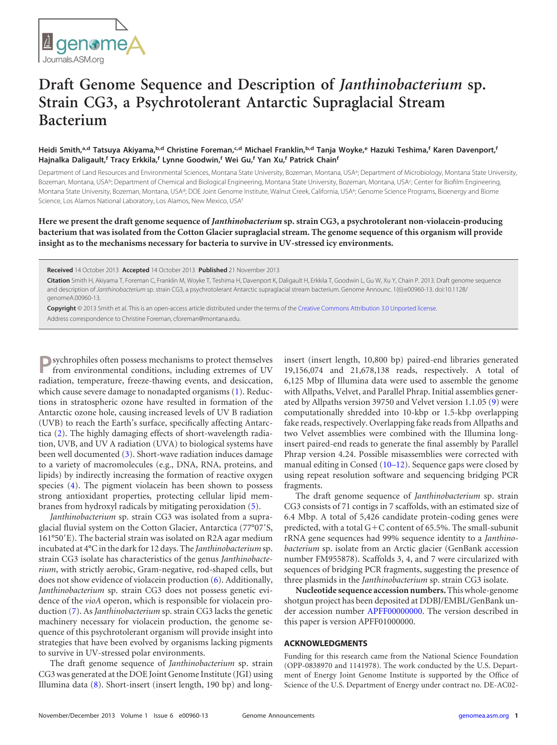## **Draft Genome Sequence and Description of** *Janthinobacterium* **sp. Strain CG3, a Psychrotolerant Antarctic Supraglacial Stream Bacterium**

## Heidi Smith,<sup>a,d</sup> Tatsuya Akiyama,<sup>b,d</sup> Christine Foreman,<sup>c,d</sup> Michael Franklin,<sup>b,d</sup> Tanja Woyke,<sup>e</sup> Hazuki Teshima,<sup>f</sup> Karen Davenport,<sup>f</sup> **Hajnalka Daligault, <sup>f</sup> Tracy Erkkila, <sup>f</sup> Lynne Goodwin, <sup>f</sup> Wei Gu, <sup>f</sup> Yan Xu, <sup>f</sup> Patrick Chainf**

Department of Land Resources and Environmental Sciences, Montana State University, Bozeman, Montana, USA<sup>a</sup>; Department of Microbiology, Montana State University, Bozeman, Montana, USAb; Department of Chemical and Biological Engineering, Montana State University, Bozeman, Montana, USA<sub>5</sub>; Center for Biofilm Engineering, Montana State University, Bozeman, Montana, USA<sup>d</sup>; DOE Joint Genome Institute, Walnut Creek, California, USA<sup>e</sup>; Genome Science Programs, Bioenergy and Biome Science, Los Alamos National Laboratory, Los Alamos, New Mexico, USAf

**Here we present the draft genome sequence of** *Janthinobacterium* **sp. strain CG3, a psychrotolerant non-violacein-producing bacterium that was isolated from the Cotton Glacier supraglacial stream. The genome sequence of this organism will provide insight as to the mechanisms necessary for bacteria to survive in UV-stressed icy environments.**

**Received** 14 October 2013 **Accepted** 14 October 2013 **Published** 21 November 2013

**Citation** Smith H, Akiyama T, Foreman C, Franklin M, Woyke T, Teshima H, Davenport K, Daligault H, Erkkila T, Goodwin L, Gu W, Xu Y, Chain P. 2013. Draft genome sequence and description of *Janthinobacterium* sp. strain CG3, a psychrotolerant Antarctic supraglacial stream bacterium. Genome Announc. 1(6):e00960-13. doi:10.1128/ genomeA.00960-13.

**Copyright** © 2013 Smith et al. This is an open-access article distributed under the terms of the [Creative Commons Attribution 3.0 Unported license.](http://creativecommons.org/licenses/by/3.0/)

Address correspondence to Christine Foreman, cforeman@montana.edu.

**P**sychrophiles often possess mechanisms to protect themselves from environmental conditions, including extremes of UV radiation, temperature, freeze-thawing events, and desiccation, which cause severe damage to nonadapted organisms [\(1\)](#page-1-0). Reductions in stratospheric ozone have resulted in formation of the Antarctic ozone hole, causing increased levels of UV B radiation (UVB) to reach the Earth's surface, specifically affecting Antarctica [\(2\)](#page-1-1). The highly damaging effects of short-wavelength radiation, UVB, and UV A radiation (UVA) to biological systems have been well documented [\(3\)](#page-1-2). Short-wave radiation induces damage to a variety of macromolecules (e.g., DNA, RNA, proteins, and lipids) by indirectly increasing the formation of reactive oxygen species [\(4\)](#page-1-3). The pigment violacein has been shown to possess strong antioxidant properties, protecting cellular lipid membranes from hydroxyl radicals by mitigating peroxidation [\(5\)](#page-1-4).

*Janthinobacterium* sp. strain CG3 was isolated from a supraglacial fluvial system on the Cotton Glacier, Antarctica (77°07'S, 161°50'E). The bacterial strain was isolated on R2A agar medium incubated at 4°C in the dark for 12 days. The *Janthinobacterium*sp. strain CG3 isolate has characteristics of the genus *Janthinobacterium*, with strictly aerobic, Gram-negative, rod-shaped cells, but does not show evidence of violacein production [\(6\)](#page-1-5). Additionally, *Janthinobacterium* sp. strain CG3 does not possess genetic evidence of the *vioA* operon, which is responsible for violacein production [\(7\)](#page-1-6). As *Janthinobacterium* sp. strain CG3 lacks the genetic machinery necessary for violacein production, the genome sequence of this psychrotolerant organism will provide insight into strategies that have been evolved by organisms lacking pigments to survive in UV-stressed polar environments.

The draft genome sequence of *Janthinobacterium* sp. strain CG3 was generated at the DOE Joint Genome Institute (JGI) using Illumina data [\(8\)](#page-1-7). Short-insert (insert length, 190 bp) and longinsert (insert length, 10,800 bp) paired-end libraries generated 19,156,074 and 21,678,138 reads, respectively. A total of 6,125 Mbp of Illumina data were used to assemble the genome with Allpaths, Velvet, and Parallel Phrap. Initial assemblies generated by Allpaths version 39750 and Velvet version 1.1.05 [\(9\)](#page-1-8) were computationally shredded into 10-kbp or 1.5-kbp overlapping fake reads, respectively. Overlapping fake reads from Allpaths and two Velvet assemblies were combined with the Illumina longinsert paired-end reads to generate the final assembly by Parallel Phrap version 4.24. Possible misassemblies were corrected with manual editing in Consed [\(10](#page-1-9)[–](#page-1-10)[12\)](#page-1-11). Sequence gaps were closed by using repeat resolution software and sequencing bridging PCR fragments.

The draft genome sequence of *Janthinobacterium* sp. strain CG3 consists of 71 contigs in 7 scaffolds, with an estimated size of 6.4 Mbp. A total of 5,426 candidate protein-coding genes were predicted, with a total G-C content of 65.5%. The small-subunit rRNA gene sequences had 99% sequence identity to a *Janthinobacterium* sp. isolate from an Arctic glacier (GenBank accession number FM955878). Scaffolds 3, 4, and 7 were circularized with sequences of bridging PCR fragments, suggesting the presence of three plasmids in the *Janthinobacterium* sp. strain CG3 isolate.

**Nucleotide sequence accession numbers.**This whole-genome shotgun project has been deposited at DDBJ/EMBL/GenBank under accession number [APFF00000000.](http://www.ncbi.nlm.nih.gov/nuccore/APFF00000000) The version described in this paper is version APFF01000000.

## **ACKNOWLEDGMENTS**

Funding for this research came from the National Science Foundation (OPP-0838970 and 1141978). The work conducted by the U.S. Department of Energy Joint Genome Institute is supported by the Office of Science of the U.S. Department of Energy under contract no. DE-AC02